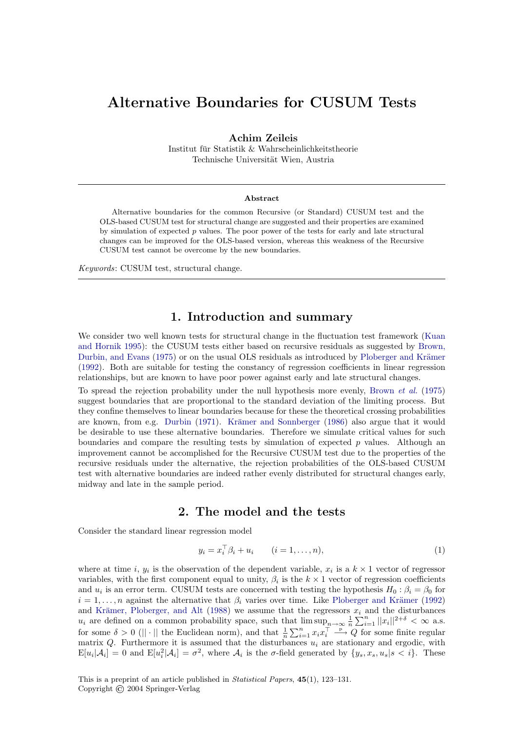# Alternative Boundaries for CUSUM Tests

Achim Zeileis

Institut für Statistik & Wahrscheinlichkeitstheorie Technische Universität Wien, Austria

#### Abstract

Alternative boundaries for the common Recursive (or Standard) CUSUM test and the OLS-based CUSUM test for structural change are suggested and their properties are examined by simulation of expected  $p$  values. The poor power of the tests for early and late structural changes can be improved for the OLS-based version, whereas this weakness of the Recursive CUSUM test cannot be overcome by the new boundaries.

Keywords: CUSUM test, structural change.

#### 1. Introduction and summary

We consider two well known tests for structural change in the fluctuation test framework [\(Kuan](#page-6-0) [and Hornik](#page-6-0) [1995\)](#page-6-0): the CUSUM tests either based on recursive residuals as suggested by [Brown,](#page-6-1) [Durbin, and Evans](#page-6-1) [\(1975\)](#page-6-1) or on the usual OLS residuals as introduced by Ploberger and Krämer [\(1992\)](#page-6-2). Both are suitable for testing the constancy of regression coefficients in linear regression relationships, but are known to have poor power against early and late structural changes.

To spread the rejection probability under the null hypothesis more evenly, [Brown](#page-6-1) et al. [\(1975\)](#page-6-1) suggest boundaries that are proportional to the standard deviation of the limiting process. But they confine themselves to linear boundaries because for these the theoretical crossing probabilities are known, from e.g. [Durbin](#page-6-3) [\(1971\)](#page-6-3). Krämer and Sonnberger [\(1986\)](#page-6-4) also argue that it would be desirable to use these alternative boundaries. Therefore we simulate critical values for such boundaries and compare the resulting tests by simulation of expected  $p$  values. Although an improvement cannot be accomplished for the Recursive CUSUM test due to the properties of the recursive residuals under the alternative, the rejection probabilities of the OLS-based CUSUM test with alternative boundaries are indeed rather evenly distributed for structural changes early, midway and late in the sample period.

### 2. The model and the tests

Consider the standard linear regression model

$$
y_i = x_i^{\top} \beta_i + u_i \qquad (i = 1, \dots, n), \tag{1}
$$

where at time i,  $y_i$  is the observation of the dependent variable,  $x_i$  is a  $k \times 1$  vector of regressor variables, with the first component equal to unity,  $\beta_i$  is the  $k \times 1$  vector of regression coefficients and  $u_i$  is an error term. CUSUM tests are concerned with testing the hypothesis  $H_0: \beta_i = \beta_0$  for  $i = 1, \ldots, n$  against the alternative that  $\beta_i$  varies over time. Like Ploberger and Krämer [\(1992\)](#page-6-2) and Krämer, Ploberger, and Alt [\(1988\)](#page-6-5) we assume that the regressors  $x_i$  and the disturbances  $u_i$  are defined on a common probability space, such that  $\limsup_{n\to\infty} \frac{1}{n} \sum_{i=1}^n ||x_i||^{2+\delta} < \infty$  a.s. for some  $\delta > 0$  (|| · || the Euclidean norm), and that  $\frac{1}{n} \sum_{i=1}^{n} x_i x_i^{\top} \stackrel{\text{p}}{\longrightarrow} Q$  for some finite regular matrix Q. Furthermore it is assumed that the disturbances  $u_i$  are stationary and ergodic, with  $\mathbb{E}[u_i|\mathcal{A}_i] = 0$  and  $\mathbb{E}[u_i^2|\mathcal{A}_i] = \sigma^2$ , where  $\mathcal{A}_i$  is the  $\sigma$ -field generated by  $\{y_s, x_s, u_s | s < i\}$ . These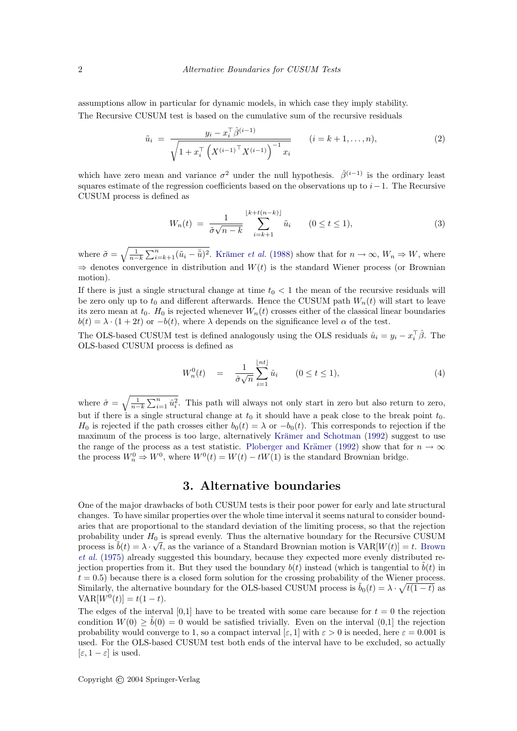assumptions allow in particular for dynamic models, in which case they imply stability. The Recursive CUSUM test is based on the cumulative sum of the recursive residuals

$$
\tilde{u}_i = \frac{y_i - x_i^{\top} \hat{\beta}^{(i-1)}}{\sqrt{1 + x_i^{\top} \left(X^{(i-1)}^{\top} X^{(i-1)}\right)^{-1} x_i}} \qquad (i = k+1, \dots, n),
$$
\n(2)

which have zero mean and variance  $\sigma^2$  under the null hypothesis.  $\hat{\beta}^{(i-1)}$  is the ordinary least squares estimate of the regression coefficients based on the observations up to  $i-1$ . The Recursive CUSUM process is defined as

$$
W_n(t) \ = \ \frac{1}{\tilde{\sigma}\sqrt{n-k}} \sum_{i=k+1}^{\lfloor k+t(n-k) \rfloor} \tilde{u}_i \qquad (0 \le t \le 1), \tag{3}
$$

where  $\tilde{\sigma} = \sqrt{\frac{1}{n-k} \sum_{i=k+1}^{n} (\tilde{u}_i - \bar{\tilde{u}})^2}$ . Krämer *et al.* [\(1988\)](#page-6-5) show that for  $n \to \infty$ ,  $W_n \Rightarrow W$ , where  $\Rightarrow$  denotes convergence in distribution and  $W(t)$  is the standard Wiener process (or Brownian motion).

If there is just a single structural change at time  $t_0 < 1$  the mean of the recursive residuals will be zero only up to  $t_0$  and different afterwards. Hence the CUSUM path  $W_n(t)$  will start to leave its zero mean at  $t_0$ .  $H_0$  is rejected whenever  $W_n(t)$  crosses either of the classical linear boundaries  $b(t) = \lambda \cdot (1 + 2t)$  or  $-b(t)$ , where  $\lambda$  depends on the significance level  $\alpha$  of the test.

The OLS-based CUSUM test is defined analogously using the OLS residuals  $\hat{u}_i = y_i - x_i^{\top} \hat{\beta}$ . The OLS-based CUSUM process is defined as

$$
W_n^0(t) = \frac{1}{\hat{\sigma}\sqrt{n}} \sum_{i=1}^{\lfloor nt \rfloor} \hat{u}_i \qquad (0 \le t \le 1), \tag{4}
$$

where  $\hat{\sigma} = \sqrt{\frac{1}{n-k} \sum_{i=1}^n \hat{u}_i^2}$ . This path will always not only start in zero but also return to zero, but if there is a single structural change at  $t_0$  it should have a peak close to the break point  $t_0$ .  $H_0$  is rejected if the path crosses either  $b_0(t) = \lambda$  or  $-b_0(t)$ . This corresponds to rejection if the maximum of the process is too large, alternatively Krämer and Schotman [\(1992\)](#page-6-6) suggest to use the range of the process as a test statistic. Ploberger and Krämer [\(1992\)](#page-6-2) show that for  $n \to \infty$ the process  $W_n^0 \Rightarrow W^0$ , where  $W^0(t) = W(t) - tW(1)$  is the standard Brownian bridge.

# 3. Alternative boundaries

One of the major drawbacks of both CUSUM tests is their poor power for early and late structural changes. To have similar properties over the whole time interval it seems natural to consider boundaries that are proportional to the standard deviation of the limiting process, so that the rejection probability under  $H_0$  is spread evenly. Thus the alternative boundary for the Recursive CUSUM process is  $\tilde{b}(t) = \lambda \cdot \sqrt{t}$ , as the variance of a Standard [Brown](#page-6-1)ian motion is  $VAR[W(t)] = t$ . Brown [et al.](#page-6-1) [\(1975\)](#page-6-1) already suggested this boundary, because they expected more evenly distributed rejection properties from it. But they used the boundary  $b(t)$  instead (which is tangential to  $b(t)$  in  $t = 0.5$ ) because there is a closed form solution for the crossing probability of the Wiener process. Similarly, the alternative boundary for the OLS-based CUSUM process is  $\tilde{b}_0(t) = \lambda \cdot \sqrt{t(1-t)}$  as  $VAR[W^{0}(t)] = t(1-t).$ 

The edges of the interval [0,1] have to be treated with some care because for  $t = 0$  the rejection condition  $W(0) \ge \tilde{b}(0) = 0$  would be satisfied trivially. Even on the interval  $(0,1]$  the rejection probability would converge to 1, so a compact interval [ $\varepsilon$ , 1] with  $\varepsilon > 0$  is needed, here  $\varepsilon = 0.001$  is used. For the OLS-based CUSUM test both ends of the interval have to be excluded, so actually  $[\varepsilon, 1-\varepsilon]$  is used.

Copyright © 2004 Springer-Verlag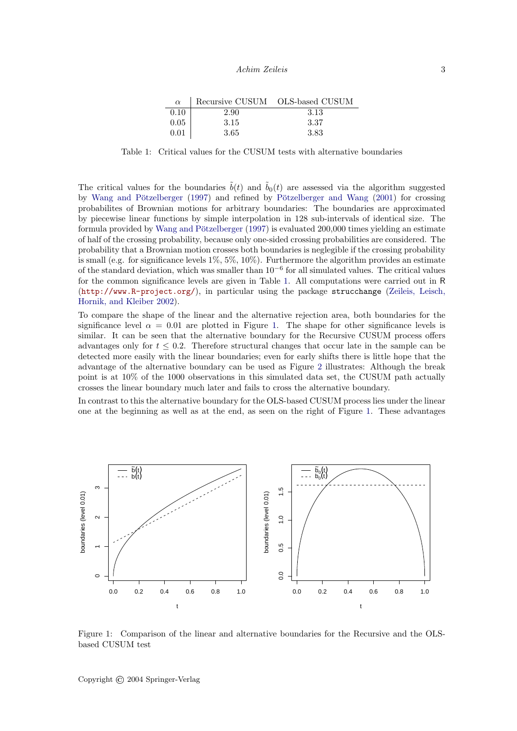| $\alpha$ |      | Recursive CUSUM OLS-based CUSUM |
|----------|------|---------------------------------|
| 0.10     | 2.90 | 3.13                            |
| 0.05     | 3.15 | 3.37                            |
| 0.01     | 3.65 | 3.83                            |

<span id="page-2-0"></span>Table 1: Critical values for the CUSUM tests with alternative boundaries

The critical values for the boundaries  $\tilde{b}(t)$  and  $\tilde{b}_0(t)$  are assessed via the algorithm suggested by Wang and Pötzelberger [\(1997\)](#page-6-7) and refined by Pötzelberger and Wang [\(2001\)](#page-6-8) for crossing probabilites of Brownian motions for arbitrary boundaries: The boundaries are approximated by piecewise linear functions by simple interpolation in 128 sub-intervals of identical size. The formula provided by Wang and Pötzelberger  $(1997)$  is evaluated 200,000 times yielding an estimate of half of the crossing probability, because only one-sided crossing probabilities are considered. The probability that a Brownian motion crosses both boundaries is neglegible if the crossing probability is small (e.g. for significance levels  $1\%, 5\%, 10\%$ ). Furthermore the algorithm provides an estimate of the standard deviation, which was smaller than  $10^{-6}$  for all simulated values. The critical values for the common significance levels are given in Table [1.](#page-2-0) All computations were carried out in R (<http://www.R-project.org/>), in particular using the package strucchange [\(Zeileis, Leisch,](#page-6-9) [Hornik, and Kleiber](#page-6-9) [2002\)](#page-6-9).

To compare the shape of the linear and the alternative rejection area, both boundaries for the significance level  $\alpha = 0.01$  are plotted in Figure [1.](#page-2-1) The shape for other significance levels is similar. It can be seen that the alternative boundary for the Recursive CUSUM process offers advantages only for  $t \leq 0.2$ . Therefore structural changes that occur late in the sample can be detected more easily with the linear boundaries; even for early shifts there is little hope that the advantage of the alternative boundary can be used as Figure [2](#page-3-0) illustrates: Although the break point is at 10% of the 1000 observations in this simulated data set, the CUSUM path actually crosses the linear boundary much later and fails to cross the alternative boundary.

In contrast to this the alternative boundary for the OLS-based CUSUM process lies under the linear one at the beginning as well as at the end, as seen on the right of Figure [1.](#page-2-1) These advantages



<span id="page-2-1"></span>Figure 1: Comparison of the linear and alternative boundaries for the Recursive and the OLSbased CUSUM test

Copyright © 2004 Springer-Verlag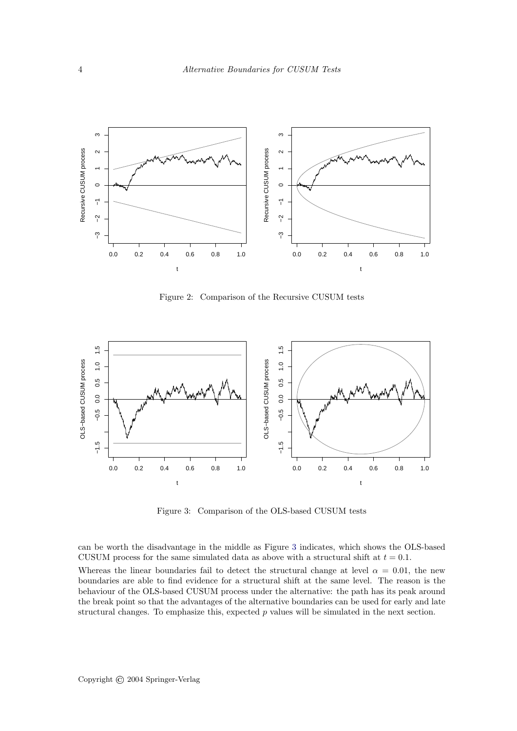

<span id="page-3-0"></span>Figure 2: Comparison of the Recursive CUSUM tests



<span id="page-3-1"></span>Figure 3: Comparison of the OLS-based CUSUM tests

can be worth the disadvantage in the middle as Figure [3](#page-3-1) indicates, which shows the OLS-based CUSUM process for the same simulated data as above with a structural shift at  $t = 0.1$ . Whereas the linear boundaries fail to detect the structural change at level  $\alpha = 0.01$ , the new boundaries are able to find evidence for a structural shift at the same level. The reason is the behaviour of the OLS-based CUSUM process under the alternative: the path has its peak around the break point so that the advantages of the alternative boundaries can be used for early and late structural changes. To emphasize this, expected  $p$  values will be simulated in the next section.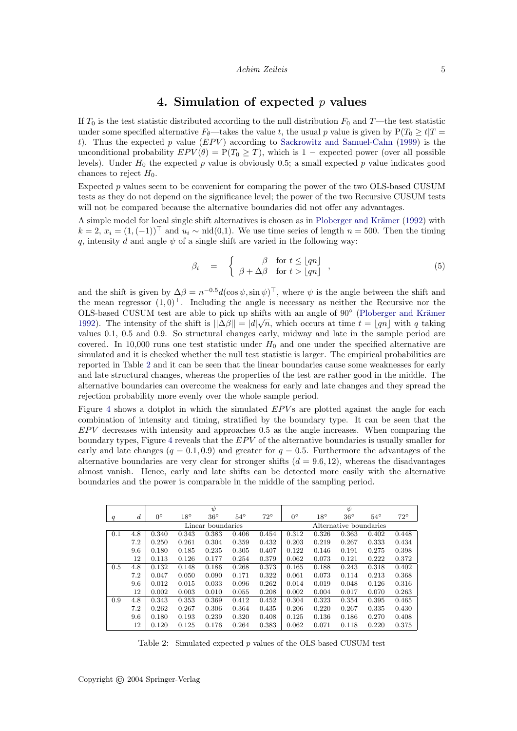### 4. Simulation of expected  $p$  values

If  $T_0$  is the test statistic distributed according to the null distribution  $F_0$  and T—the test statistic under some specified alternative  $F_{\theta}$ —takes the value t, the usual p value is given by  $P(T_0 \geq t)T$ t). Thus the expected p value  $(EPV)$  according to [Sackrowitz and Samuel-Cahn](#page-6-10) [\(1999\)](#page-6-10) is the unconditional probability  $EPV(\theta) = P(T_0 \geq T)$ , which is 1 – expected power (over all possible levels). Under  $H_0$  the expected p value is obviously 0.5; a small expected p value indicates good chances to reject  $H_0$ .

Expected p values seem to be convenient for comparing the power of the two OLS-based CUSUM tests as they do not depend on the significance level; the power of the two Recursive CUSUM tests will not be compared because the alternative boundaries did not offer any advantages.

A simple model for local single shift alternatives is chosen as in Ploberger and Krämer [\(1992\)](#page-6-2) with  $k = 2$ ,  $x_i = (1, (-1))^\perp$  and  $u_i \sim \text{nid}(0,1)$ . We use time series of length  $n = 500$ . Then the timing q, intensity d and angle  $\psi$  of a single shift are varied in the following way:

$$
\beta_i = \begin{cases} \beta & \text{for } t \leq \lfloor qn \rfloor \\ \beta + \Delta \beta & \text{for } t > \lfloor qn \rfloor \end{cases},
$$
\n(5)

and the shift is given by  $\Delta \beta = n^{-0.5} d(\cos \psi, \sin \psi)^\top$ , where  $\psi$  is the angle between the shift and the mean regressor  $(1, 0)^\top$ . Including the angle is necessary as neither the Recursive nor the OLS-based CUSUM test are able to pick up shifts with an angle of  $90^{\circ}$  (Ploberger and Krämer [1992\)](#page-6-2). The intensity of the shift is  $||\Delta\beta|| = |d|\sqrt{n}$ , which occurs at time  $t = |qn|$  with q taking values 0.1, 0.5 and 0.9. So structural changes early, midway and late in the sample period are covered. In 10,000 runs one test statistic under  $H_0$  and one under the specified alternative are simulated and it is checked whether the null test statistic is larger. The empirical probabilities are reported in Table [2](#page-4-0) and it can be seen that the linear boundaries cause some weaknesses for early and late structural changes, whereas the properties of the test are rather good in the middle. The alternative boundaries can overcome the weakness for early and late changes and they spread the rejection probability more evenly over the whole sample period.

Figure [4](#page-5-0) shows a dotplot in which the simulated  $EPV$  s are plotted against the angle for each combination of intensity and timing, stratified by the boundary type. It can be seen that the  $EPV$  decreases with intensity and approaches 0.5 as the angle increases. When comparing the boundary types, Figure [4](#page-5-0) reveals that the EPV of the alternative boundaries is usually smaller for early and late changes ( $q = 0.1, 0.9$ ) and greater for  $q = 0.5$ . Furthermore the advantages of the alternative boundaries are very clear for stronger shifts  $(d = 9.6, 12)$ , whereas the disadvantages almost vanish. Hence, early and late shifts can be detected more easily with the alternative boundaries and the power is comparable in the middle of the sampling period.

|     |                  |                   |              | $\psi$       |              |              |                        |              | $\psi$       |              |              |
|-----|------------------|-------------------|--------------|--------------|--------------|--------------|------------------------|--------------|--------------|--------------|--------------|
| q   | $\boldsymbol{d}$ | $0^{\circ}$       | $18^{\circ}$ | $36^{\circ}$ | $54^{\circ}$ | $72^{\circ}$ | $0^{\circ}$            | $18^{\circ}$ | $36^{\circ}$ | $54^{\circ}$ | $72^{\circ}$ |
|     |                  | Linear boundaries |              |              |              |              | Alternative boundaries |              |              |              |              |
| 0.1 | 4.8              | 0.340             | 0.343        | 0.383        | 0.406        | 0.454        | 0.312                  | 0.326        | 0.363        | 0.402        | 0.448        |
|     | 7.2              | 0.250             | 0.261        | 0.304        | 0.359        | 0.432        | 0.203                  | 0.219        | 0.267        | 0.333        | 0.434        |
|     | 9.6              | 0.180             | 0.185        | 0.235        | 0.305        | 0.407        | 0.122                  | 0.146        | 0.191        | 0.275        | 0.398        |
|     | 12               | 0.113             | 0.126        | 0.177        | 0.254        | 0.379        | 0.062                  | 0.073        | 0.121        | 0.222        | 0.372        |
| 0.5 | 4.8              | 0.132             | 0.148        | 0.186        | 0.268        | 0.373        | 0.165                  | 0.188        | 0.243        | 0.318        | 0.402        |
|     | 7.2              | 0.047             | 0.050        | 0.090        | 0.171        | 0.322        | 0.061                  | 0.073        | 0.114        | 0.213        | 0.368        |
|     | 9.6              | 0.012             | 0.015        | 0.033        | 0.096        | 0.262        | 0.014                  | 0.019        | 0.048        | 0.126        | 0.316        |
|     | 12               | 0.002             | 0.003        | 0.010        | 0.055        | 0.208        | 0.002                  | 0.004        | 0.017        | 0.070        | 0.263        |
| 0.9 | 4.8              | 0.343             | 0.353        | 0.369        | 0.412        | 0.452        | 0.304                  | 0.323        | 0.354        | 0.395        | 0.465        |
|     | 7.2              | 0.262             | 0.267        | 0.306        | 0.364        | 0.435        | 0.206                  | 0.220        | 0.267        | 0.335        | 0.430        |
|     | 9.6              | 0.180             | 0.193        | 0.239        | 0.320        | 0.408        | 0.125                  | 0.136        | 0.186        | 0.270        | 0.408        |
|     | 12               | 0.120             | 0.125        | 0.176        | 0.264        | 0.383        | 0.062                  | 0.071        | 0.118        | 0.220        | 0.375        |

<span id="page-4-0"></span>Table 2: Simulated expected p values of the OLS-based CUSUM test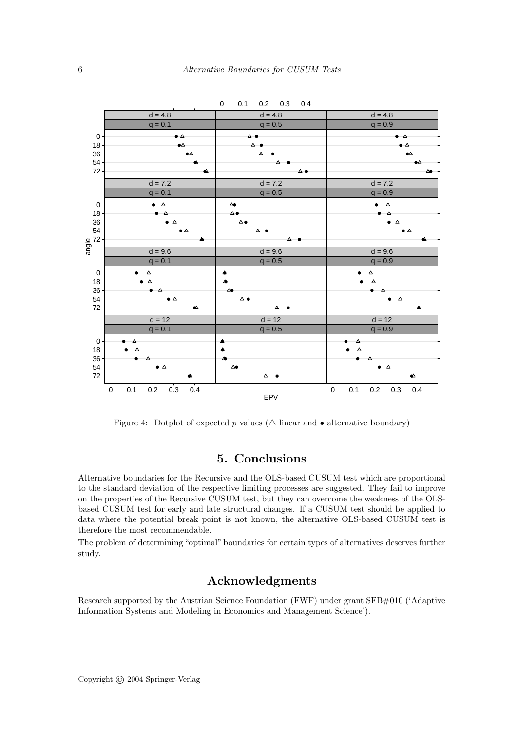

<span id="page-5-0"></span>Figure 4: Dotplot of expected p values ( $\triangle$  linear and  $\bullet$  alternative boundary)

# 5. Conclusions

Alternative boundaries for the Recursive and the OLS-based CUSUM test which are proportional to the standard deviation of the respective limiting processes are suggested. They fail to improve on the properties of the Recursive CUSUM test, but they can overcome the weakness of the OLSbased CUSUM test for early and late structural changes. If a CUSUM test should be applied to data where the potential break point is not known, the alternative OLS-based CUSUM test is therefore the most recommendable.

The problem of determining "optimal" boundaries for certain types of alternatives deserves further study.

# Acknowledgments

Research supported by the Austrian Science Foundation (FWF) under grant SFB#010 ('Adaptive Information Systems and Modeling in Economics and Management Science').